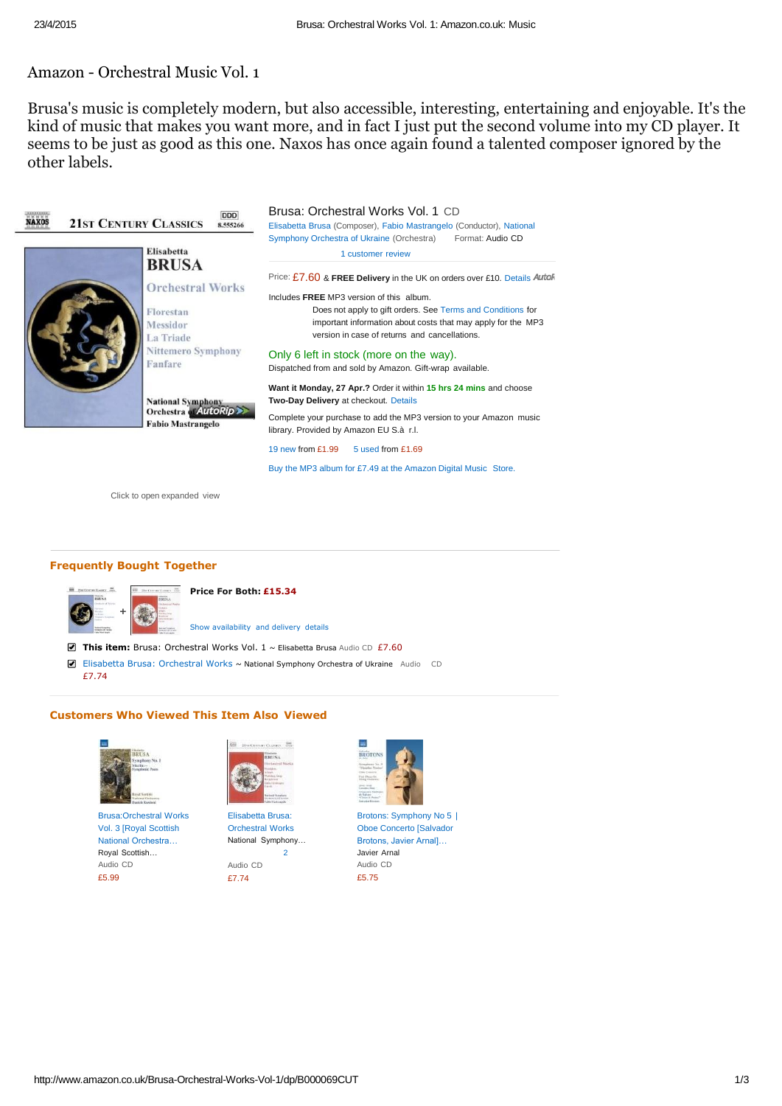# Amazon - Orchestral Music Vol. 1

Brusa's music is completely modern, but also accessible, interesting, entertaining and enjoyable. It's the kind of music that makes you want more, and in fact I just put the second volume into my CD player. It seems to be just as good as this one. Naxos has once again found a talented composer ignored by the other labels.

| <b>21ST CENTURY CLASSICS</b><br>NAXOS | <b>DDD</b><br>8.555266                                                                                                              | Brusa: Orchestral Works Vol. 1 CD<br>Elisabetta Brusa (Composer), Fabio Mastrangelo (Conductor), National                                                                                                                                                                                                  |  |
|---------------------------------------|-------------------------------------------------------------------------------------------------------------------------------------|------------------------------------------------------------------------------------------------------------------------------------------------------------------------------------------------------------------------------------------------------------------------------------------------------------|--|
|                                       | Elisabetta<br><b>BRUSA</b><br><b>Orchestral Works</b><br>Florestan<br>Messidor<br>La Triade<br><b>Nittemero Symphony</b><br>Fanfare | Symphony Orchestra of Ukraine (Orchestra)<br>Format: Audio CD<br>1 customer review                                                                                                                                                                                                                         |  |
|                                       |                                                                                                                                     | Price: £7.60 & FREE Delivery in the UK on orders over £10. Details AutoR<br>Includes <b>FREE</b> MP3 version of this album<br>Does not apply to gift orders. See Terms and Conditions for<br>important information about costs that may apply for the MP3<br>version in case of returns and cancellations. |  |
|                                       |                                                                                                                                     | Only 6 left in stock (more on the way).<br>Dispatched from and sold by Amazon. Gift-wrap available.                                                                                                                                                                                                        |  |
|                                       | <b>National Symphony</b><br>Orchestra & AutoRip<br><b>Fabio Mastrangelo</b>                                                         | Want it Monday, 27 Apr.? Order it within 15 hrs 24 mins and choose<br>Two-Day Delivery at checkout. Details                                                                                                                                                                                                |  |
|                                       |                                                                                                                                     | Complete your purchase to add the MP3 version to your Amazon music<br>library. Provided by Amazon EU S.à r.l.                                                                                                                                                                                              |  |
|                                       |                                                                                                                                     | 19 new from £1.99<br>5 used from £1.69                                                                                                                                                                                                                                                                     |  |
|                                       |                                                                                                                                     | Buy the MP3 album for £7.49 at the Amazon Digital Music Store.                                                                                                                                                                                                                                             |  |

Click to open expanded view

# **Frequently Bought Together**



**Price For Both: £15.34**

Show availability and delivery details

- This item: Brusa: Orchestral Works Vol. 1 ~ Elisabetta Brusa Audio CD £7.60
- [Elisabetta Brusa: Orchestral Works](http://www.amazon.co.uk/Elisabetta-National-Symphony-Orchestra-Ukraine/dp/B00006GO43/ref%3Dpd_bxgy_m_h__text_y) ~ National Symphony Orchestra of Ukraine Audio CD £7.74

#### **Customers Who Viewed This Item Also Viewed**



[Brusa:Orchestral](http://www.amazon.co.uk/Brusa-Orchestral-Scottish-National-Orchestra/dp/B00U2OSXT4/ref%3Dpd_sim_sbs_m_h__1?ie=UTF8&refRID=0KEXV05Z87C714NVBDJ6) Works [Vol. 3 \[Royal Scottish](http://www.amazon.co.uk/Brusa-Orchestral-Scottish-National-Orchestra/dp/B00U2OSXT4/ref%3Dpd_sim_sbs_m_h__1?ie=UTF8&refRID=0KEXV05Z87C714NVBDJ6) National [Orchestra…](http://www.amazon.co.uk/Brusa-Orchestral-Scottish-National-Orchestra/dp/B00U2OSXT4/ref%3Dpd_sim_sbs_m_h__1?ie=UTF8&refRID=0KEXV05Z87C714NVBDJ6) Royal Scottish… Audio CD £5.99



[Elisabetta Brusa:](http://www.amazon.co.uk/Elisabetta-National-Symphony-Orchestra-Ukraine/dp/B00006GO43/ref%3Dpd_sim_sbs_m_h__2?ie=UTF8&refRID=0KEXV05Z87C714NVBDJ6) [Orchestral](http://www.amazon.co.uk/Elisabetta-National-Symphony-Orchestra-Ukraine/dp/B00006GO43/ref%3Dpd_sim_sbs_m_h__2?ie=UTF8&refRID=0KEXV05Z87C714NVBDJ6) Works National Symphony… [2](http://www.amazon.co.uk/product-reviews/B00006GO43/ref%3Dpd_sim_sbs_m_h__cr_2?ie=UTF8&refRID=0KEXV05Z87C714NVBDJ6) Audio CD £7.74



[Brotons: Symphony No 5](http://www.amazon.co.uk/Brotons-Symphony-Concerto-Salvador-8573163/dp/B00D2K1Z0E/ref%3Dpd_sim_sbs_m_h__3?ie=UTF8&refRID=0KEXV05Z87C714NVBDJ6) | [Oboe Concerto](http://www.amazon.co.uk/Brotons-Symphony-Concerto-Salvador-8573163/dp/B00D2K1Z0E/ref%3Dpd_sim_sbs_m_h__3?ie=UTF8&refRID=0KEXV05Z87C714NVBDJ6) [Salvador [Brotons, Javier Arnal\]…](http://www.amazon.co.uk/Brotons-Symphony-Concerto-Salvador-8573163/dp/B00D2K1Z0E/ref%3Dpd_sim_sbs_m_h__3?ie=UTF8&refRID=0KEXV05Z87C714NVBDJ6) Javier Arnal Audio CD £5.75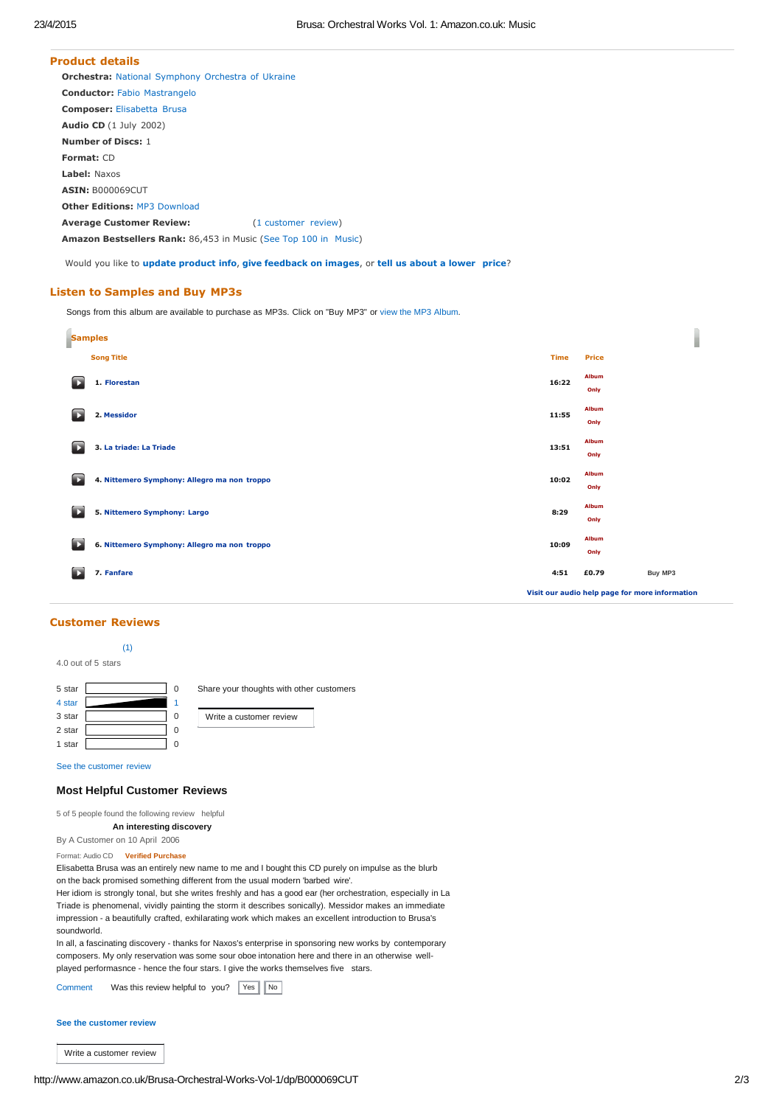#### **Product details**

**Orchestra:** National [Symphony](http://www.amazon.co.uk/s/ref%3Ddp_db_clas_orch?ie=UTF8&keywords=National%20Symphony%20Orchestra%20of%20Ukraine&search-alias=classical) Orchestra of Ukraine **Conductor:** Fabio [Mastrangelo](http://www.amazon.co.uk/s/ref%3Ddp_db_clas_cond?ie=UTF8&keywords=Fabio%20Mastrangelo&search-alias=classical) **Composer:** [Elisabetta](http://www.amazon.co.uk/s/ref%3Ddp_db_clas_comp?ie=UTF8&keywords=Elisabetta%20Brusa&search-alias=classical) Brusa **Audio CD** (1 July 2002) **Number of Discs:** 1 **Format:** CD **Label:** Naxos **ASIN:** B000069CUT **Other Editions:** MP3 [Download](http://www.amazon.co.uk/mp3/dp/B001LZY5B8/ref%3Dmb_oe_o) **Average Customer Review:** [\(1 customer](http://www.amazon.co.uk/product-reviews/B000069CUT/ref%3Ddp_db_cm_cr_acr_txt?ie=UTF8&showViewpoints=1) review) **Amazon Bestsellers Rank:** 86,453 in Music [\(See Top 100 in Music\)](http://www.amazon.co.uk/gp/bestsellers/music/ref%3Dpd_dp_ts_m_h__1)

Would you like to **[update product info](https://www.amazon.co.uk/gp/gfix/welcome.html/ref%3Dgfix-product-detail-catalog?ie=UTF8&ASIN=B000069CUT&merchantID=A3P5ROKL5A1OLE&storeID=music)**, **[give feedback on images](https://www.amazon.co.uk/gp/gfix/imageCorrection.html/ref%3Dgfix-product-detail-image?ie=UTF8&ASIN=B000069CUT&merchantID=A3P5ROKL5A1OLE&storeID=music)**, or **tell us about a lower price**?

### **Listen to Samples and Buy MP3s**

Songs from this album are available to purchase as MP3s. Click on "Buy MP3" or view the MP3 [Album.](http://www.amazon.co.uk/dp/B001LZY5B8/ref%3Dmu_dm_alb_dp)

| <b>Samples</b>    |                                              |                                                |               |         |  |
|-------------------|----------------------------------------------|------------------------------------------------|---------------|---------|--|
| <b>Song Title</b> |                                              | <b>Time</b>                                    | <b>Price</b>  |         |  |
|                   | 1. Florestan                                 | 16:22                                          | Album<br>Only |         |  |
|                   | 2. Messidor                                  | 11:55                                          | Album<br>Only |         |  |
|                   | 3. La triade: La Triade                      | 13:51                                          | Album<br>Only |         |  |
| Œ                 | 4. Nittemero Symphony: Allegro ma non troppo | 10:02                                          | Album<br>Only |         |  |
| Œ                 | 5. Nittemero Symphony: Largo                 | 8:29                                           | Album<br>Only |         |  |
|                   | 6. Nittemero Symphony: Allegro ma non troppo | 10:09                                          | Album<br>Only |         |  |
|                   | 7. Fanfare                                   | 4:51                                           | £0.79         | Buy MP3 |  |
|                   |                                              | Visit our audio help page for more information |               |         |  |

### **Customer Reviews**

[\(1\)](http://www.amazon.co.uk/product-reviews/B000069CUT/ref%3Dcm_cr_dp_see_all_top?ie=UTF8&showViewpoints=1&sortBy=byRankDescending) 4.0 out of 5 stars 5 star 0  $4 \text{ star}$  $4 \text{ star}$  $4 \text{ star}$  [1](http://www.amazon.co.uk/product-reviews/B000069CUT/ref%3Dcm_cr_dp_hist_four?ie=UTF8&filterBy=addFourStar&showViewpoints=0)  $3 \text{ star}$  0  $2 \text{ star}$  0 1 star 0 Share your thoughts with other customers [Write a customer](http://www.amazon.co.uk/review/create-review/ref%3Dcm_cr_dp_wrt_top?ie=UTF8&asin=B000069CUT&channel=detail-glance&nodeID=229816&store=music) review

[See the customer](http://www.amazon.co.uk/product-reviews/B000069CUT/ref%3Dcm_cr_dp_see_all_summary?ie=UTF8&showViewpoints=1&sortBy=byRankDescending) review

#### **Most Helpful Customer Reviews**

5 of 5 people found the following review helpful

**[An interesting](http://www.amazon.co.uk/review/R1XU4U7FCKE3PP/ref%3Dcm_cr_dp_title?ie=UTF8&ASIN=B000069CUT&channel=detail-glance&nodeID=229816&store=music) discovery**

By A Customer on 10 April 2006

### Format: Audio CD **Verified Purchase**

Elisabetta Brusa was an entirely new name to me and I bought this CD purely on impulse as the blurb on the back promised something different from the usual modern 'barbed wire'.

Her idiom is strongly tonal, but she writes freshly and has a good ear (her orchestration, especially in La Triade is phenomenal, vividly painting the storm it describes sonically). Messidor makes an immediate impression - a beautifully crafted, exhilarating work which makes an excellent introduction to Brusa's soundworld.

In all, a fascinating discovery - thanks for Naxos's enterprise in sponsoring new works by contemporary composers. My only reservation was some sour oboe intonation here and there in an otherwise wellplayed performasnce - hence the four stars. I give the works themselves five stars.

[Comment](http://www.amazon.co.uk/review/R1XU4U7FCKE3PP/ref%3Dcm_cr_dp_cmt?ie=UTF8&ASIN=B000069CUT&channel=detail-glance&nodeID=229816&store=music&wasThisHelpful) Was this review helpful to you? | [Yes](http://www.amazon.co.uk/gp/voting/cast/Reviews/2115/R1XU4U7FCKE3PP/Helpful/1/ref%3Dcm_cr_dp_voteyn_yes?ie=UTF8&target=aHR0cDovL3d3dy5hbWF6b24uY28udWsvZ3AvcHJvZHVjdC9CMDAwMDY5Q1VUL3JlZj1jbV9jcl9kcHZvdGVyZHI&token=BA764169899AC3736AC29544E62785E3B3C7B21E&voteAnchorName=R1XU4U7FCKE3PP.2115.Helpful.Reviews&voteSessionID=277-3182160-4653720) | [No](http://www.amazon.co.uk/gp/voting/cast/Reviews/2115/R1XU4U7FCKE3PP/Helpful/-1/ref%3Dcm_cr_dp_voteyn_no?ie=UTF8&target=aHR0cDovL3d3dy5hbWF6b24uY28udWsvZ3AvcHJvZHVjdC9CMDAwMDY5Q1VUL3JlZj1jbV9jcl9kcHZvdGVyZHI&token=92B7421AACBBF29D43B092210BB2CEF4111DC205&voteAnchorName=R1XU4U7FCKE3PP.2115.Helpful.Reviews&voteSessionID=277-3182160-4653720)

#### **[See the customer](http://www.amazon.co.uk/product-reviews/B000069CUT/ref%3Dcm_cr_dp_see_all_btm?ie=UTF8&showViewpoints=1&sortBy=bySubmissionDateDescending) review**

[Write a customer](http://www.amazon.co.uk/review/create-review/ref%3Dcm_cr_dp_wrt_btm?ie=UTF8&asin=B000069CUT&channel=detail-glance&nodeID=229816&store=music) review